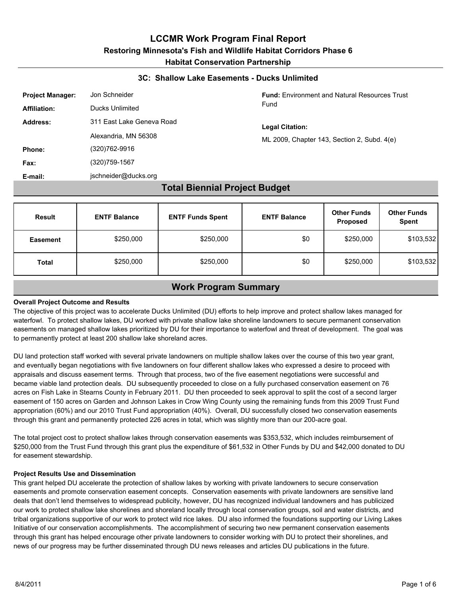#### **3C: Shallow Lake Easements - Ducks Unlimited**

| <b>Project Manager:</b> | Jon Schneider             |
|-------------------------|---------------------------|
| <b>Affiliation:</b>     | Ducks Unlimited           |
| Address:                | 311 East Lake Geneva Road |
|                         | Alexandria, MN 56308      |
| Phone:                  | (320)762-9916             |
| Fax:                    | (320)759-1567             |
| E-mail:                 | jschneider@ducks.org      |

#### **Fund:** Environment and Natural Resources Trust Fund

#### **Legal Citation:**

ML 2009, Chapter 143, Section 2, Subd. 4(e)

### **Total Biennial Project Budget**

| <b>Result</b>   | <b>ENTF Balance</b> | <b>ENTF Funds Spent</b> | <b>ENTF Balance</b> | <b>Other Funds</b><br>Proposed | <b>Other Funds</b><br><b>Spent</b> |
|-----------------|---------------------|-------------------------|---------------------|--------------------------------|------------------------------------|
| <b>Easement</b> | \$250,000           | \$250,000               | \$0                 | \$250,000                      | \$103,532                          |
| <b>Total</b>    | \$250,000           | \$250,000               | \$0                 | \$250,000                      | \$103,532                          |

### **Work Program Summary**

#### **Overall Project Outcome and Results**

The objective of this project was to accelerate Ducks Unlimited (DU) efforts to help improve and protect shallow lakes managed for waterfowl. To protect shallow lakes, DU worked with private shallow lake shoreline landowners to secure permanent conservation easements on managed shallow lakes prioritized by DU for their importance to waterfowl and threat of development. The goal was to permanently protect at least 200 shallow lake shoreland acres.

DU land protection staff worked with several private landowners on multiple shallow lakes over the course of this two year grant, and eventually began negotiations with five landowners on four different shallow lakes who expressed a desire to proceed with appraisals and discuss easement terms. Through that process, two of the five easement negotiations were successful and became viable land protection deals. DU subsequently proceeded to close on a fully purchased conservation easement on 76 acres on Fish Lake in Stearns County in February 2011. DU then proceeded to seek approval to split the cost of a second larger easement of 150 acres on Garden and Johnson Lakes in Crow Wing County using the remaining funds from this 2009 Trust Fund appropriation (60%) and our 2010 Trust Fund appropriation (40%). Overall, DU successfully closed two conservation easements through this grant and permanently protected 226 acres in total, which was slightly more than our 200-acre goal.

The total project cost to protect shallow lakes through conservation easements was \$353,532, which includes reimbursement of \$250,000 from the Trust Fund through this grant plus the expenditure of \$61,532 in Other Funds by DU and \$42,000 donated to DU for easement stewardship.

#### **Project Results Use and Dissemination**

This grant helped DU accelerate the protection of shallow lakes by working with private landowners to secure conservation easements and promote conservation easement concepts. Conservation easements with private landowners are sensitive land deals that don't lend themselves to widespread publicity, however, DU has recognized individual landowners and has publicized our work to protect shallow lake shorelines and shoreland locally through local conservation groups, soil and water districts, and tribal organizations supportive of our work to protect wild rice lakes. DU also informed the foundations supporting our Living Lakes Initiative of our conservation accomplishments. The accomplishment of securing two new permanent conservation easements through this grant has helped encourage other private landowners to consider working with DU to protect their shorelines, and news of our progress may be further disseminated through DU news releases and articles DU publications in the future.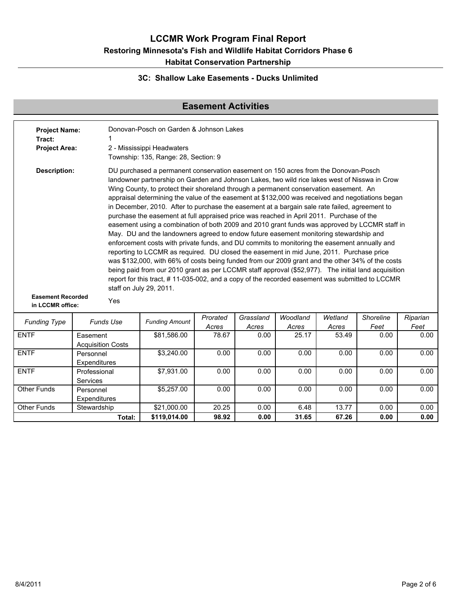### **3C: Shallow Lake Easements - Ducks Unlimited**

## **Easement Activities**

| <b>Project Name:</b><br>Tract:<br><b>Project Area:</b> |                  | Donovan-Posch on Garden & Johnson Lakes<br>2 - Mississippi Headwaters<br>Township: 135, Range: 28, Section: 9                                                                                                                                                                                                                                                                                                                                                                                                                                                                                                                                                                                                                                                                                                                                                                                                                                                                                                                                                                                                                                                                                                                                                                                               |                   |                    |                   |                  |                          |                  |  |  |
|--------------------------------------------------------|------------------|-------------------------------------------------------------------------------------------------------------------------------------------------------------------------------------------------------------------------------------------------------------------------------------------------------------------------------------------------------------------------------------------------------------------------------------------------------------------------------------------------------------------------------------------------------------------------------------------------------------------------------------------------------------------------------------------------------------------------------------------------------------------------------------------------------------------------------------------------------------------------------------------------------------------------------------------------------------------------------------------------------------------------------------------------------------------------------------------------------------------------------------------------------------------------------------------------------------------------------------------------------------------------------------------------------------|-------------------|--------------------|-------------------|------------------|--------------------------|------------------|--|--|
| <b>Description:</b>                                    |                  | DU purchased a permanent conservation easement on 150 acres from the Donovan-Posch<br>landowner partnership on Garden and Johnson Lakes, two wild rice lakes west of Nisswa in Crow<br>Wing County, to protect their shoreland through a permanent conservation easement. An<br>appraisal determining the value of the easement at \$132,000 was received and negotiations began<br>in December, 2010. After to purchase the easement at a bargain sale rate failed, agreement to<br>purchase the easement at full appraised price was reached in April 2011. Purchase of the<br>easement using a combination of both 2009 and 2010 grant funds was approved by LCCMR staff in<br>May. DU and the landowners agreed to endow future easement monitoring stewardship and<br>enforcement costs with private funds, and DU commits to monitoring the easement annually and<br>reporting to LCCMR as required. DU closed the easement in mid June, 2011. Purchase price<br>was \$132,000, with 66% of costs being funded from our 2009 grant and the other 34% of the costs<br>being paid from our 2010 grant as per LCCMR staff approval (\$52,977). The initial land acquisition<br>report for this tract, #11-035-002, and a copy of the recorded easement was submitted to LCCMR<br>staff on July 29, 2011. |                   |                    |                   |                  |                          |                  |  |  |
| <b>Easement Recorded</b><br>in LCCMR office:           | Yes              |                                                                                                                                                                                                                                                                                                                                                                                                                                                                                                                                                                                                                                                                                                                                                                                                                                                                                                                                                                                                                                                                                                                                                                                                                                                                                                             |                   |                    |                   |                  |                          |                  |  |  |
| <b>Funding Type</b>                                    | <b>Funds Use</b> | <b>Funding Amount</b>                                                                                                                                                                                                                                                                                                                                                                                                                                                                                                                                                                                                                                                                                                                                                                                                                                                                                                                                                                                                                                                                                                                                                                                                                                                                                       | Prorated<br>Acres | Grassland<br>Acres | Woodland<br>Acres | Wetland<br>Acres | <b>Shoreline</b><br>Feet | Riparian<br>Feet |  |  |
| <b>ENTF</b>                                            | Fasement         | \$81.586.00                                                                                                                                                                                                                                                                                                                                                                                                                                                                                                                                                                                                                                                                                                                                                                                                                                                                                                                                                                                                                                                                                                                                                                                                                                                                                                 | 78.67             | 0.00               | 25.17             | 53.49            | 0.00                     | 0.00             |  |  |

| <b>ENTF</b> | Easement                 | \$81,586.00  | 78.67 | 0.00 | 25.17 | 53.49 | 0.00 | 0.00 |  |
|-------------|--------------------------|--------------|-------|------|-------|-------|------|------|--|
|             | <b>Acquisition Costs</b> |              |       |      |       |       |      |      |  |
| <b>ENTF</b> | Personnel                | \$3,240.00   | 0.00  | 0.00 | 0.00  | 0.00  | 0.00 | 0.00 |  |
|             | Expenditures             |              |       |      |       |       |      |      |  |
| <b>ENTF</b> | Professional             | \$7,931.00   | 0.00  | 0.00 | 0.00  | 0.00  | 0.00 | 0.00 |  |
|             | <b>Services</b>          |              |       |      |       |       |      |      |  |
| Other Funds | Personnel                | \$5,257.00   | 0.00  | 0.00 | 0.00  | 0.00  | 0.00 | 0.00 |  |
|             | Expenditures             |              |       |      |       |       |      |      |  |
| Other Funds | Stewardship              | \$21,000.00  | 20.25 | 0.00 | 6.48  | 13.77 | 0.00 | 0.00 |  |
|             | Total:                   | \$119,014.00 | 98.92 | 0.00 | 31.65 | 67.26 | 0.00 | 0.00 |  |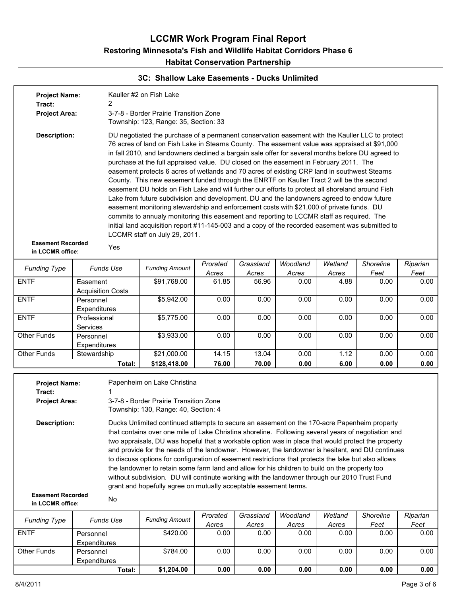### **3C: Shallow Lake Easements - Ducks Unlimited**

|                                                                               |                                      |                                                                                                                                                                                                                                                                                                                                                                                                                                                                                                                                                                                                                                                                                                                                                                                                                                                                                                                                                                                                                                                                                                                            |                   | <b>PRODUCED CONTRACTLY - DUCKS ON INITIACLE</b> |                   |                  |                   |                  |  |  |
|-------------------------------------------------------------------------------|--------------------------------------|----------------------------------------------------------------------------------------------------------------------------------------------------------------------------------------------------------------------------------------------------------------------------------------------------------------------------------------------------------------------------------------------------------------------------------------------------------------------------------------------------------------------------------------------------------------------------------------------------------------------------------------------------------------------------------------------------------------------------------------------------------------------------------------------------------------------------------------------------------------------------------------------------------------------------------------------------------------------------------------------------------------------------------------------------------------------------------------------------------------------------|-------------------|-------------------------------------------------|-------------------|------------------|-------------------|------------------|--|--|
| <b>Project Name:</b><br>Tract:<br><b>Project Area:</b>                        | 2                                    | Kauller #2 on Fish Lake<br>3-7-8 - Border Prairie Transition Zone                                                                                                                                                                                                                                                                                                                                                                                                                                                                                                                                                                                                                                                                                                                                                                                                                                                                                                                                                                                                                                                          |                   |                                                 |                   |                  |                   |                  |  |  |
|                                                                               |                                      | Township: 123, Range: 35, Section: 33                                                                                                                                                                                                                                                                                                                                                                                                                                                                                                                                                                                                                                                                                                                                                                                                                                                                                                                                                                                                                                                                                      |                   |                                                 |                   |                  |                   |                  |  |  |
| <b>Description:</b>                                                           |                                      | DU negotiated the purchase of a permanent conservation easement with the Kauller LLC to protect<br>76 acres of land on Fish Lake in Stearns County. The easement value was appraised at \$91,000<br>in fall 2010, and landowners declined a bargain sale offer for several months before DU agreed to<br>purchase at the full appraised value. DU closed on the easement in February 2011. The<br>easement protects 6 acres of wetlands and 70 acres of existing CRP land in southwest Stearns<br>County. This new easement funded through the ENRTF on Kauller Tract 2 will be the second<br>easement DU holds on Fish Lake and will further our efforts to protect all shoreland around Fish<br>Lake from future subdivision and development. DU and the landowners agreed to endow future<br>easement monitoring stewardship and enforcement costs with \$21,000 of private funds. DU<br>commits to annualy monitoring this easement and reporting to LCCMR staff as required. The<br>initial land acquisition report #11-145-003 and a copy of the recorded easement was submitted to<br>LCCMR staff on July 29, 2011. |                   |                                                 |                   |                  |                   |                  |  |  |
| <b>Easement Recorded</b><br>in LCCMR office:                                  | Yes                                  |                                                                                                                                                                                                                                                                                                                                                                                                                                                                                                                                                                                                                                                                                                                                                                                                                                                                                                                                                                                                                                                                                                                            |                   |                                                 |                   |                  |                   |                  |  |  |
| <b>Funding Type</b>                                                           | <b>Funds Use</b>                     | <b>Funding Amount</b>                                                                                                                                                                                                                                                                                                                                                                                                                                                                                                                                                                                                                                                                                                                                                                                                                                                                                                                                                                                                                                                                                                      | Prorated          | Grassland                                       | Woodland          | Wetland          | Shoreline<br>Feet | Riparian<br>Feet |  |  |
| <b>ENTF</b>                                                                   | Easement<br><b>Acquisition Costs</b> | \$91,768.00                                                                                                                                                                                                                                                                                                                                                                                                                                                                                                                                                                                                                                                                                                                                                                                                                                                                                                                                                                                                                                                                                                                | Acres<br>61.85    | Acres<br>56.96                                  | Acres<br>0.00     | Acres<br>4.88    | 0.00              | 0.00             |  |  |
| <b>ENTF</b>                                                                   | Personnel<br>Expenditures            | \$5,942.00                                                                                                                                                                                                                                                                                                                                                                                                                                                                                                                                                                                                                                                                                                                                                                                                                                                                                                                                                                                                                                                                                                                 | 0.00              | 0.00                                            | 0.00              | 0.00             | 0.00              | 0.00             |  |  |
| <b>ENTF</b>                                                                   | Professional<br>Services             | \$5,775.00                                                                                                                                                                                                                                                                                                                                                                                                                                                                                                                                                                                                                                                                                                                                                                                                                                                                                                                                                                                                                                                                                                                 | 0.00              | 0.00                                            | 0.00              | 0.00             | 0.00              | 0.00             |  |  |
| Other Funds                                                                   | Personnel<br>Expenditures            | \$3,933.00<br>0.00<br>0.00<br>0.00<br>0.00<br>0.00<br>0.00                                                                                                                                                                                                                                                                                                                                                                                                                                                                                                                                                                                                                                                                                                                                                                                                                                                                                                                                                                                                                                                                 |                   |                                                 |                   |                  |                   |                  |  |  |
| <b>Other Funds</b>                                                            | Stewardship                          | \$21,000.00                                                                                                                                                                                                                                                                                                                                                                                                                                                                                                                                                                                                                                                                                                                                                                                                                                                                                                                                                                                                                                                                                                                | 14.15             | 13.04                                           | 0.00              | 1.12             | 0.00              | 0.00             |  |  |
|                                                                               | Total:                               | \$128,418.00                                                                                                                                                                                                                                                                                                                                                                                                                                                                                                                                                                                                                                                                                                                                                                                                                                                                                                                                                                                                                                                                                                               | 76.00             | 70.00                                           | 0.00              | 6.00             | 0.00              | 0.00             |  |  |
| <b>Project Name:</b><br>Tract:<br><b>Project Area:</b><br><b>Description:</b> |                                      | Papenheim on Lake Christina<br>3-7-8 - Border Prairie Transition Zone<br>Township: 130, Range: 40, Section: 4<br>Ducks Unlimited continued attempts to secure an easement on the 170-acre Papenheim property<br>that contains over one mile of Lake Christina shoreline. Following several years of negotiation and<br>two appraisals, DU was hopeful that a workable option was in place that would protect the property<br>and provide for the needs of the landowner. However, the landowner is hesitant, and DU continues<br>to discuss options for configuration of easement restrictions that protects the lake but also allows<br>the landowner to retain some farm land and allow for his children to build on the property too<br>without subdivision. DU will continute working with the landowner through our 2010 Trust Fund<br>grant and hopefully agree on mutually acceptable easement terms.                                                                                                                                                                                                               |                   |                                                 |                   |                  |                   |                  |  |  |
| <b>Easement Recorded</b><br>in LCCMR office:                                  | No                                   |                                                                                                                                                                                                                                                                                                                                                                                                                                                                                                                                                                                                                                                                                                                                                                                                                                                                                                                                                                                                                                                                                                                            |                   |                                                 |                   |                  |                   |                  |  |  |
| <b>Funding Type</b>                                                           | <b>Funds Use</b>                     | <b>Funding Amount</b>                                                                                                                                                                                                                                                                                                                                                                                                                                                                                                                                                                                                                                                                                                                                                                                                                                                                                                                                                                                                                                                                                                      | Prorated<br>Acres | Grassland<br>Acres                              | Woodland<br>Acres | Wetland<br>Acres | Shoreline<br>Feet | Riparian<br>Feet |  |  |
| <b>ENTF</b>                                                                   | Personnel<br>Expenditures            | \$420.00                                                                                                                                                                                                                                                                                                                                                                                                                                                                                                                                                                                                                                                                                                                                                                                                                                                                                                                                                                                                                                                                                                                   | 0.00              | 0.00                                            | 0.00              | 0.00             | 0.00              | 0.00             |  |  |
| Other Funds                                                                   | Personnel<br>Expenditures            | \$784.00                                                                                                                                                                                                                                                                                                                                                                                                                                                                                                                                                                                                                                                                                                                                                                                                                                                                                                                                                                                                                                                                                                                   | 0.00              | 0.00                                            | 0.00              | 0.00             | 0.00              | 0.00             |  |  |
|                                                                               | Total:                               | \$1,204.00                                                                                                                                                                                                                                                                                                                                                                                                                                                                                                                                                                                                                                                                                                                                                                                                                                                                                                                                                                                                                                                                                                                 | 0.00              | 0.00                                            | 0.00              | 0.00             | 0.00              | 0.00             |  |  |

**Total: \$1,204.00 0.00 0.00 0.00 0.00 0.00 0.00**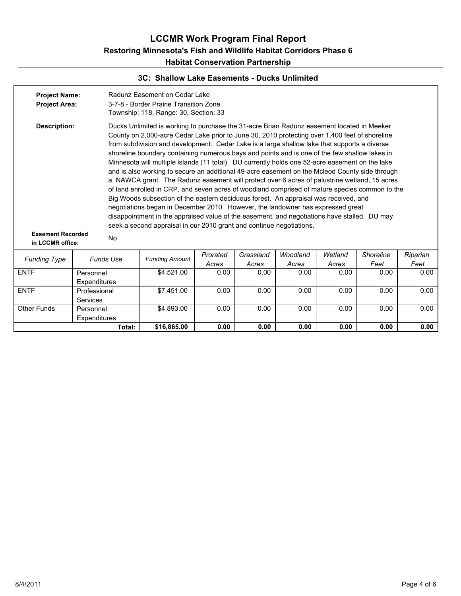#### **3C: Shallow Lake Easements - Ducks Unlimited**

| <b>Project Name:</b><br><b>Project Area:</b>                        |                                 | Radunz Easement on Cedar Lake<br>3-7-8 - Border Prairie Transition Zone<br>Township: 118, Range: 30, Section: 33                                                                                                                                                                                                                                                                                                                                                                                                                                                                                                                                                                                                                                                                                                                                                                                                                                                                                                                                                                                                                                        |          |           |          |         |           |          |  |  |  |  |
|---------------------------------------------------------------------|---------------------------------|---------------------------------------------------------------------------------------------------------------------------------------------------------------------------------------------------------------------------------------------------------------------------------------------------------------------------------------------------------------------------------------------------------------------------------------------------------------------------------------------------------------------------------------------------------------------------------------------------------------------------------------------------------------------------------------------------------------------------------------------------------------------------------------------------------------------------------------------------------------------------------------------------------------------------------------------------------------------------------------------------------------------------------------------------------------------------------------------------------------------------------------------------------|----------|-----------|----------|---------|-----------|----------|--|--|--|--|
| <b>Description:</b><br><b>Easement Recorded</b><br>in LCCMR office: | No                              | Ducks Unlimited is working to purchase the 31-acre Brian Radunz easement located in Meeker<br>County on 2,000-acre Cedar Lake prior to June 30, 2010 protecting over 1,400 feet of shoreline<br>from subdivision and development. Cedar Lake is a large shallow lake that supports a diverse<br>shoreline boundary containing numerous bays and points and is one of the few shallow lakes in<br>Minnesota will multiple islands (11 total). DU currently holds one 52-acre easement on the lake<br>and is also working to secure an additional 49-acre easement on the Mcleod County side through<br>a NAWCA grant. The Radunz easement will protect over 6 acres of palustrine wetland, 15 acres<br>of land enrolled in CRP, and seven acres of woodland comprised of mature species common to the<br>Big Woods subsection of the eastern deciduous forest. An appraisal was received, and<br>negotiations began in December 2010. However, the landowner has expressed great<br>disappointment in the appraised value of the easement, and negotiations have stalled. DU may<br>seek a second appraisal in our 2010 grant and continue negotiations. |          |           |          |         |           |          |  |  |  |  |
|                                                                     |                                 |                                                                                                                                                                                                                                                                                                                                                                                                                                                                                                                                                                                                                                                                                                                                                                                                                                                                                                                                                                                                                                                                                                                                                         | Prorated | Grassland | Woodland | Wetland | Shoreline | Riparian |  |  |  |  |
| <b>Funding Type</b>                                                 | <b>Funds Use</b>                | <b>Funding Amount</b>                                                                                                                                                                                                                                                                                                                                                                                                                                                                                                                                                                                                                                                                                                                                                                                                                                                                                                                                                                                                                                                                                                                                   | Acres    | Acres     | Acres    | Acres   | Feet      | Feet     |  |  |  |  |
| <b>ENTF</b>                                                         | Personnel<br>Expenditures       | \$4,521.00                                                                                                                                                                                                                                                                                                                                                                                                                                                                                                                                                                                                                                                                                                                                                                                                                                                                                                                                                                                                                                                                                                                                              | 0.00     | 0.00      | 0.00     | 0.00    | 0.00      | 0.00     |  |  |  |  |
| <b>ENTF</b>                                                         | Professional<br><b>Services</b> | \$7.451.00                                                                                                                                                                                                                                                                                                                                                                                                                                                                                                                                                                                                                                                                                                                                                                                                                                                                                                                                                                                                                                                                                                                                              | 0.00     | 0.00      | 0.00     | 0.00    | 0.00      | 0.00     |  |  |  |  |
| <b>Other Funds</b>                                                  | Personnel<br>Expenditures       | \$4,893.00                                                                                                                                                                                                                                                                                                                                                                                                                                                                                                                                                                                                                                                                                                                                                                                                                                                                                                                                                                                                                                                                                                                                              | 0.00     | 0.00      | 0.00     | 0.00    | 0.00      | 0.00     |  |  |  |  |
|                                                                     | Total:                          | \$16,865.00                                                                                                                                                                                                                                                                                                                                                                                                                                                                                                                                                                                                                                                                                                                                                                                                                                                                                                                                                                                                                                                                                                                                             | 0.00     | 0.00      | 0.00     | 0.00    | 0.00      | 0.00     |  |  |  |  |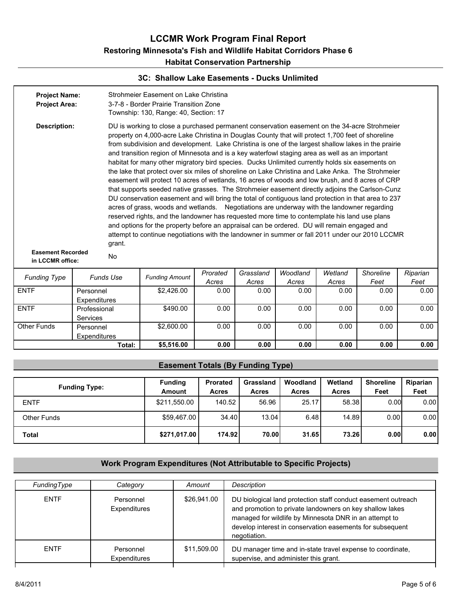#### **3C: Shallow Lake Easements - Ducks Unlimited**

| <b>Project Name:</b><br><b>Project Area:</b> |                           |                  | Strohmeier Easement on Lake Christina<br>3-7-8 - Border Prairie Transition Zone<br>Township: 130, Range: 40, Section: 17                                                                                                                                                                                                                                                                                                                                                                                                                                                                                                                                                                                                                                                                                                                                                                                                                                                                                                                                                                                                                                                                                                                                                                                                       |                   |                    |                   |                  |                   |                  |  |  |  |  |
|----------------------------------------------|---------------------------|------------------|--------------------------------------------------------------------------------------------------------------------------------------------------------------------------------------------------------------------------------------------------------------------------------------------------------------------------------------------------------------------------------------------------------------------------------------------------------------------------------------------------------------------------------------------------------------------------------------------------------------------------------------------------------------------------------------------------------------------------------------------------------------------------------------------------------------------------------------------------------------------------------------------------------------------------------------------------------------------------------------------------------------------------------------------------------------------------------------------------------------------------------------------------------------------------------------------------------------------------------------------------------------------------------------------------------------------------------|-------------------|--------------------|-------------------|------------------|-------------------|------------------|--|--|--|--|
| <b>Description:</b>                          |                           | grant.           | DU is working to close a purchased permanent conservation easement on the 34-acre Strohmeier<br>property on 4,000-acre Lake Christina in Douglas County that will protect 1,700 feet of shoreline<br>from subdivision and development. Lake Christina is one of the largest shallow lakes in the prairie<br>and transition region of Minnesota and is a key waterfowl staging area as well as an important<br>habitat for many other migratory bird species. Ducks Unlimited currently holds six easements on<br>the lake that protect over six miles of shoreline on Lake Christina and Lake Anka. The Strohmeier<br>easement will protect 10 acres of wetlands, 16 acres of woods and low brush, and 8 acres of CRP<br>that supports seeded native grasses. The Strohmeier easement directly adjoins the Carlson-Cunz<br>DU conservation easement and will bring the total of contiguous land protection in that area to 237<br>acres of grass, woods and wetlands. Negotiations are underway with the landowner regarding<br>reserved rights, and the landowner has requested more time to contemplate his land use plans<br>and options for the property before an appraisal can be ordered. DU will remain engaged and<br>attempt to continue negotiations with the landowner in summer or fall 2011 under our 2010 LCCMR |                   |                    |                   |                  |                   |                  |  |  |  |  |
| <b>Easement Recorded</b><br>in LCCMR office: |                           | No               |                                                                                                                                                                                                                                                                                                                                                                                                                                                                                                                                                                                                                                                                                                                                                                                                                                                                                                                                                                                                                                                                                                                                                                                                                                                                                                                                |                   |                    |                   |                  |                   |                  |  |  |  |  |
| <b>Funding Type</b>                          |                           | <b>Funds Use</b> | <b>Funding Amount</b>                                                                                                                                                                                                                                                                                                                                                                                                                                                                                                                                                                                                                                                                                                                                                                                                                                                                                                                                                                                                                                                                                                                                                                                                                                                                                                          | Prorated<br>Acres | Grassland<br>Acres | Woodland<br>Acres | Wetland<br>Acres | Shoreline<br>Feet | Riparian<br>Feet |  |  |  |  |
| <b>ENTF</b>                                  | Personnel<br>Expenditures |                  | \$2,426.00                                                                                                                                                                                                                                                                                                                                                                                                                                                                                                                                                                                                                                                                                                                                                                                                                                                                                                                                                                                                                                                                                                                                                                                                                                                                                                                     | 0.00              | 0.00               | 0.00              | 0.00             | 0.00              | 0.00             |  |  |  |  |
| <b>ENTF</b>                                  | Professional<br>Services  |                  | \$490.00                                                                                                                                                                                                                                                                                                                                                                                                                                                                                                                                                                                                                                                                                                                                                                                                                                                                                                                                                                                                                                                                                                                                                                                                                                                                                                                       | 0.00              | 0.00               | 0.00              | 0.00             | 0.00              | 0.00             |  |  |  |  |
| Other Funds                                  | Personnel<br>Expenditures |                  | \$2,600.00                                                                                                                                                                                                                                                                                                                                                                                                                                                                                                                                                                                                                                                                                                                                                                                                                                                                                                                                                                                                                                                                                                                                                                                                                                                                                                                     | 0.00              | 0.00               | 0.00              | 0.00             | 0.00              | 0.00             |  |  |  |  |
|                                              |                           | Total:           | \$5,516.00                                                                                                                                                                                                                                                                                                                                                                                                                                                                                                                                                                                                                                                                                                                                                                                                                                                                                                                                                                                                                                                                                                                                                                                                                                                                                                                     | 0.00              | 0.00               | 0.00              | 0.00             | 0.00              | 0.00             |  |  |  |  |

### **Easement Totals (By Funding Type)**

| <b>Funding Type:</b> | <b>Funding</b><br><b>Amount</b> | <b>Prorated</b><br><b>Acres</b> | Grassland<br><b>Acres</b> | Woodland<br><b>Acres</b> | Wetland<br>Acres | <b>Shoreline</b><br>Feet | Riparian<br>Feet |
|----------------------|---------------------------------|---------------------------------|---------------------------|--------------------------|------------------|--------------------------|------------------|
| <b>ENTF</b>          | \$211,550.00                    | 140.52                          | 56.96                     | 25.17                    | 58.38            | 0.001                    | 0.00             |
| Other Funds          | \$59,467.00                     | 34.40                           | 13.04                     | 6.48                     | 14.89            | 0.00                     | 0.00             |
| Total                | \$271,017.00                    | 174.92                          | 70.00                     | 31.65                    | 73.26            | 0.001                    | 0.00             |

### **Work Program Expenditures (Not Attributable to Specific Projects)**

| FundingType | Category                  | Amount      | Description                                                                                                                                                                                                                                                      |
|-------------|---------------------------|-------------|------------------------------------------------------------------------------------------------------------------------------------------------------------------------------------------------------------------------------------------------------------------|
| <b>ENTF</b> | Personnel<br>Expenditures | \$26,941.00 | DU biological land protection staff conduct easement outreach<br>and promotion to private landowners on key shallow lakes<br>managed for wildlife by Minnesota DNR in an attempt to<br>develop interest in conservation easements for subsequent<br>negotiation. |
| <b>ENTF</b> | Personnel<br>Expenditures | \$11.509.00 | DU manager time and in-state travel expense to coordinate,<br>supervise, and administer this grant.                                                                                                                                                              |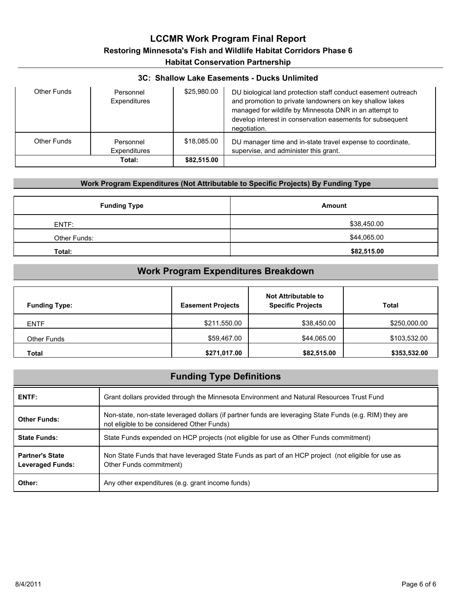#### **3C: Shallow Lake Easements - Ducks Unlimited**

| Other Funds | Personnel<br>Expenditures | \$25,980.00 | DU biological land protection staff conduct easement outreach<br>and promotion to private landowners on key shallow lakes<br>managed for wildlife by Minnesota DNR in an attempt to<br>develop interest in conservation easements for subsequent<br>negotiation. |
|-------------|---------------------------|-------------|------------------------------------------------------------------------------------------------------------------------------------------------------------------------------------------------------------------------------------------------------------------|
| Other Funds | Personnel<br>Expenditures | \$18,085,00 | DU manager time and in-state travel expense to coordinate,<br>supervise, and administer this grant.                                                                                                                                                              |
|             | Total:                    | \$82,515.00 |                                                                                                                                                                                                                                                                  |

#### **Work Program Expenditures (Not Attributable to Specific Projects) By Funding Type**

| <b>Funding Type</b> | <b>Amount</b> |
|---------------------|---------------|
| ENTF:               | \$38,450.00   |
| Other Funds:        | \$44,065.00   |
| Total:              | \$82,515.00   |

## **Work Program Expenditures Breakdown**

| <b>Funding Type:</b> | <b>Easement Projects</b> | Not Attributable to<br><b>Specific Projects</b> | Total        |
|----------------------|--------------------------|-------------------------------------------------|--------------|
| <b>ENTF</b>          | \$211,550.00             | \$38,450.00                                     | \$250,000.00 |
| <b>Other Funds</b>   | \$59,467.00              | \$44,065.00                                     | \$103,532.00 |
| Total                | \$271,017.00             | \$82,515.00                                     | \$353,532.00 |

| <b>Funding Type Definitions</b>                   |                                                                                                                                                       |  |  |  |  |  |  |  |
|---------------------------------------------------|-------------------------------------------------------------------------------------------------------------------------------------------------------|--|--|--|--|--|--|--|
| ENTF:                                             | Grant dollars provided through the Minnesota Environment and Natural Resources Trust Fund                                                             |  |  |  |  |  |  |  |
| <b>Other Funds:</b>                               | Non-state, non-state leveraged dollars (if partner funds are leveraging State Funds (e.g. RIM) they are<br>not eligible to be considered Other Funds) |  |  |  |  |  |  |  |
| <b>State Funds:</b>                               | State Funds expended on HCP projects (not eligible for use as Other Funds commitment)                                                                 |  |  |  |  |  |  |  |
| <b>Partner's State</b><br><b>Leveraged Funds:</b> | Non State Funds that have leveraged State Funds as part of an HCP project (not eligible for use as<br>Other Funds commitment)                         |  |  |  |  |  |  |  |
| Other:                                            | Any other expenditures (e.g. grant income funds)                                                                                                      |  |  |  |  |  |  |  |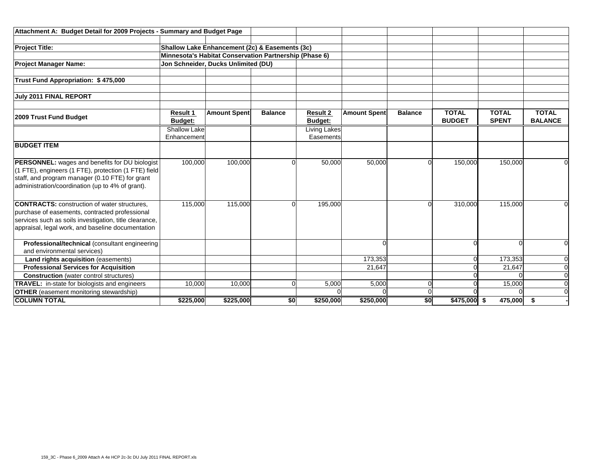| Attachment A: Budget Detail for 2009 Projects - Summary and Budget Page |                                     |                                                |                |                                   |                     |                |                               |                              |                                |
|-------------------------------------------------------------------------|-------------------------------------|------------------------------------------------|----------------|-----------------------------------|---------------------|----------------|-------------------------------|------------------------------|--------------------------------|
| <b>Project Title:</b>                                                   |                                     | Shallow Lake Enhancement (2c) & Easements (3c) |                |                                   |                     |                |                               |                              |                                |
| Minnesota's Habitat Conservation Partnership (Phase 6)                  |                                     |                                                |                |                                   |                     |                |                               |                              |                                |
| <b>Project Manager Name:</b>                                            | Jon Schneider, Ducks Unlimited (DU) |                                                |                |                                   |                     |                |                               |                              |                                |
|                                                                         |                                     |                                                |                |                                   |                     |                |                               |                              |                                |
| Trust Fund Appropriation: \$475,000                                     |                                     |                                                |                |                                   |                     |                |                               |                              |                                |
|                                                                         |                                     |                                                |                |                                   |                     |                |                               |                              |                                |
| July 2011 FINAL REPORT                                                  |                                     |                                                |                |                                   |                     |                |                               |                              |                                |
|                                                                         |                                     |                                                |                |                                   |                     |                |                               |                              |                                |
| 2009 Trust Fund Budget                                                  | <b>Result 1</b><br><b>Budget:</b>   | <b>Amount Spent</b>                            | <b>Balance</b> | <b>Result 2</b><br><b>Budget:</b> | <b>Amount Spent</b> | <b>Balance</b> | <b>TOTAL</b><br><b>BUDGET</b> | <b>TOTAL</b><br><b>SPENT</b> | <b>TOTAL</b><br><b>BALANCE</b> |
|                                                                         | <b>Shallow Lake</b>                 |                                                |                | Living Lakes                      |                     |                |                               |                              |                                |
|                                                                         | Enhancement                         |                                                |                | Easements                         |                     |                |                               |                              |                                |
| <b>BUDGET ITEM</b>                                                      |                                     |                                                |                |                                   |                     |                |                               |                              |                                |
|                                                                         |                                     |                                                |                |                                   |                     |                |                               |                              |                                |
| PERSONNEL: wages and benefits for DU biologist                          | 100,000                             | 100,000                                        |                | 50,000                            | 50,000              |                | 150,000                       | 150,000                      |                                |
| (1 FTE), engineers (1 FTE), protection (1 FTE) field                    |                                     |                                                |                |                                   |                     |                |                               |                              |                                |
| staff, and program manager (0.10 FTE) for grant                         |                                     |                                                |                |                                   |                     |                |                               |                              |                                |
| administration/coordination (up to 4% of grant).                        |                                     |                                                |                |                                   |                     |                |                               |                              |                                |
| <b>CONTRACTS:</b> construction of water structures.                     | 115,000                             | 115,000                                        |                | 195,000                           |                     |                | 310,000                       | 115,000                      |                                |
| purchase of easements, contracted professional                          |                                     |                                                |                |                                   |                     |                |                               |                              |                                |
| services such as soils investigation, title clearance,                  |                                     |                                                |                |                                   |                     |                |                               |                              |                                |
| appraisal, legal work, and baseline documentation                       |                                     |                                                |                |                                   |                     |                |                               |                              |                                |
| Professional/technical (consultant engineering                          |                                     |                                                |                |                                   |                     |                |                               |                              |                                |
| and environmental services)                                             |                                     |                                                |                |                                   |                     |                |                               |                              |                                |
| Land rights acquisition (easements)                                     |                                     |                                                |                |                                   | 173,353             |                |                               | 173,353                      |                                |
| <b>Professional Services for Acquisition</b>                            |                                     |                                                |                |                                   | 21,647              |                |                               | 21,647                       | $\Omega$                       |
| <b>Construction</b> (water control structures)                          |                                     |                                                |                |                                   |                     |                |                               |                              | $\Omega$                       |
| <b>TRAVEL:</b> in-state for biologists and engineers                    | 10,000                              | 10,000                                         |                | 5,000                             | 5,000               |                |                               | 15,000                       | $\Omega$                       |
| <b>OTHER</b> (easement monitoring stewardship)                          |                                     |                                                |                |                                   |                     |                |                               |                              |                                |
| <b>COLUMN TOTAL</b><br>\$225,000                                        |                                     | \$225,000                                      | \$0            | \$250,000                         | \$250,000           | \$0            | $$475,000$ \$                 | 475,000                      | s.                             |